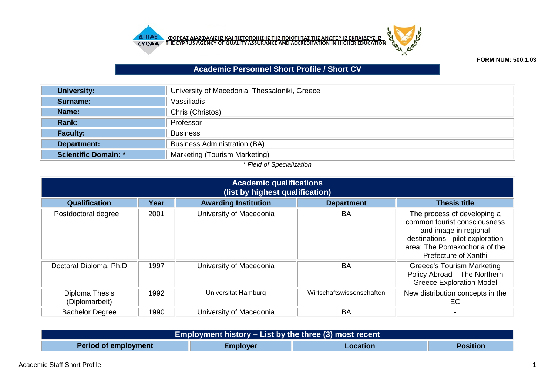



## **FORM NUM: 500.1.03**

## **Academic Personnel Short Profile / Short CV**

| University:                 | University of Macedonia, Thessaloniki, Greece |
|-----------------------------|-----------------------------------------------|
| Surname:                    | Vassiliadis                                   |
| Name:                       | Chris (Christos)                              |
| Rank:                       | Professor                                     |
| <b>Faculty:</b>             | <b>Business</b>                               |
| Department:                 | <b>Business Administration (BA)</b>           |
| <b>Scientific Domain: *</b> | Marketing (Tourism Marketing)                 |

## *\* Field of Specialization*

| <b>Academic qualifications</b><br>(list by highest qualification) |      |                             |                           |                                                                                                                                                                                   |  |
|-------------------------------------------------------------------|------|-----------------------------|---------------------------|-----------------------------------------------------------------------------------------------------------------------------------------------------------------------------------|--|
| <b>Qualification</b>                                              | Year | <b>Awarding Institution</b> | <b>Department</b>         | <b>Thesis title</b>                                                                                                                                                               |  |
| Postdoctoral degree                                               | 2001 | University of Macedonia     | BA                        | The process of developing a<br>common tourist consciousness<br>and image in regional<br>destinations - pilot exploration<br>area: The Pomakochoria of the<br>Prefecture of Xanthi |  |
| Doctoral Diploma, Ph.D                                            | 1997 | University of Macedonia     | <b>BA</b>                 | <b>Greece's Tourism Marketing</b><br>Policy Abroad - The Northern<br><b>Greece Exploration Model</b>                                                                              |  |
| Diploma Thesis<br>(Diplomarbeit)                                  | 1992 | Universitat Hamburg         | Wirtschaftswissenschaften | New distribution concepts in the<br>EC                                                                                                                                            |  |
| <b>Bachelor Degree</b>                                            | 1990 | University of Macedonia     | BA                        |                                                                                                                                                                                   |  |

| Employment history $-$ List by the three (3) most recent |          |          |                 |  |  |  |  |
|----------------------------------------------------------|----------|----------|-----------------|--|--|--|--|
| <b>Period of employment</b>                              | Employer | Location | <b>Position</b> |  |  |  |  |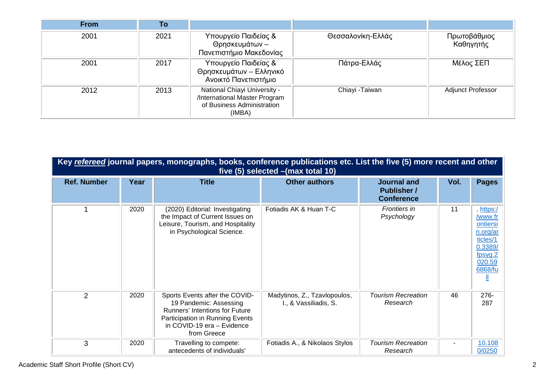| <b>From</b> | To   |                                                                                                       |                   |                           |
|-------------|------|-------------------------------------------------------------------------------------------------------|-------------------|---------------------------|
| 2001        | 2021 | Υπουργείο Παιδείας &<br>Θρησκευμάτων -<br>Πανεπιστήμιο Μακεδονίας                                     | Θεσσαλονίκη-Ελλάς | Πρωτοβάθμιος<br>Καθηγητής |
| 2001        | 2017 | Υπουργείο Παιδείας &<br>Θρησκευμάτων - Ελληνικό<br>Ανοικτό Πανεπιστήμιο                               | Πάτρα-Ελλάς       | Μέλος ΣΕΠ                 |
| 2012        | 2013 | National Chiayi University -<br>/International Master Program<br>of Business Administration<br>(IMBA) | Chiayi - Taiwan   | <b>Adjunct Professor</b>  |

| Key refereed journal papers, monographs, books, conference publications etc. List the five (5) more recent and other<br>five $(5)$ selected $-(max total 10)$ |      |                                                                                                                                                                                   |                                                       |                                                               |      |                                                                                                     |
|---------------------------------------------------------------------------------------------------------------------------------------------------------------|------|-----------------------------------------------------------------------------------------------------------------------------------------------------------------------------------|-------------------------------------------------------|---------------------------------------------------------------|------|-----------------------------------------------------------------------------------------------------|
| <b>Ref. Number</b>                                                                                                                                            | Year | <b>Title</b>                                                                                                                                                                      | <b>Other authors</b>                                  | <b>Journal and</b><br><b>Publisher</b> /<br><b>Conference</b> | Vol. | <b>Pages</b>                                                                                        |
|                                                                                                                                                               | 2020 | (2020) Editorial: Investigating<br>the Impact of Current Issues on<br>Leisure, Tourism, and Hospitality<br>in Psychological Science.                                              | Fotiadis AK & Huan T-C                                | Frontiers in<br>Psychology                                    | 11   | . https:/<br>/www.fr<br>ontiersi<br>n.org/ar<br>ticles/1<br>0.3389/<br>fpsyg.2<br>020.59<br>6868/fu |
| 2                                                                                                                                                             | 2020 | Sports Events after the COVID-<br>19 Pandemic: Assessing<br><b>Runners' Intentions for Future</b><br>Participation in Running Events<br>in COVID-19 era - Evidence<br>from Greece | Madytinos, Z., Tzavlopoulos,<br>I., & Vassiliadis, S. | <b>Tourism Recreation</b><br>Research                         | 46   | $276 -$<br>287                                                                                      |
| 3                                                                                                                                                             | 2020 | Travelling to compete:<br>antecedents of individuals'                                                                                                                             | Fotiadis A., & Nikolaos Stylos                        | <b>Tourism Recreation</b><br>Research                         |      | 10.108<br>0/0250                                                                                    |